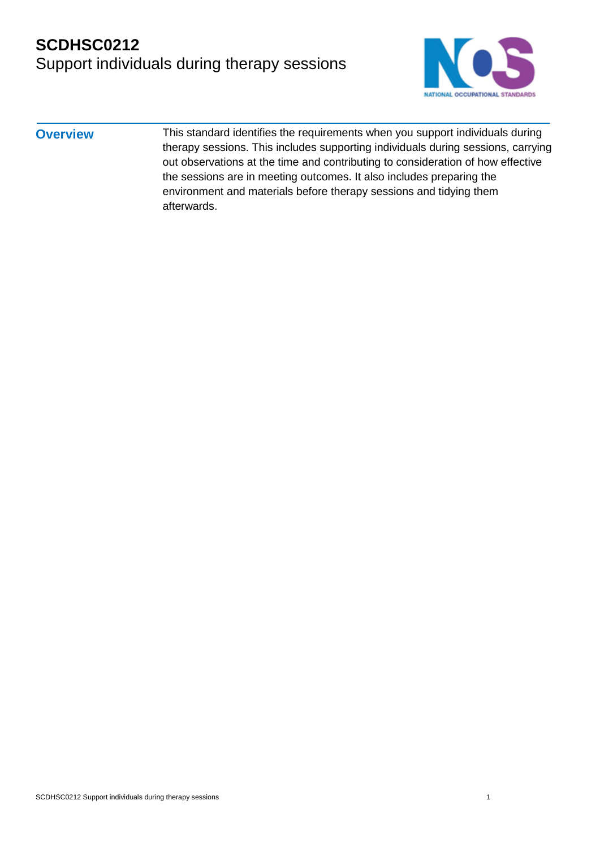

**Overview** This standard identifies the requirements when you support individuals during therapy sessions. This includes supporting individuals during sessions, carrying out observations at the time and contributing to consideration of how effective the sessions are in meeting outcomes. It also includes preparing the environment and materials before therapy sessions and tidying them afterwards.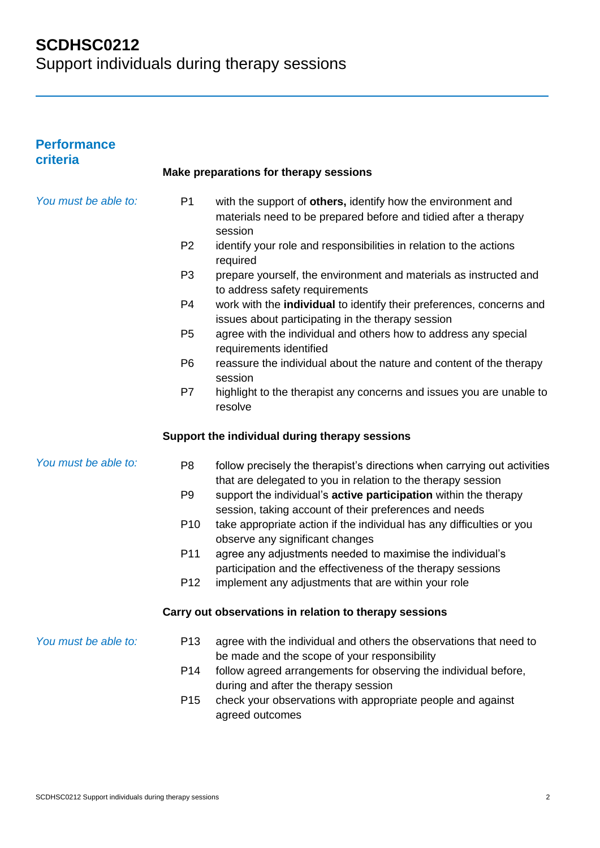| <b>Performance</b><br>criteria |                 | Make preparations for therapy sessions                                                                                                     |
|--------------------------------|-----------------|--------------------------------------------------------------------------------------------------------------------------------------------|
| You must be able to:           |                 |                                                                                                                                            |
|                                | P <sub>1</sub>  | with the support of others, identify how the environment and<br>materials need to be prepared before and tidied after a therapy<br>session |
|                                | P <sub>2</sub>  | identify your role and responsibilities in relation to the actions<br>required                                                             |
|                                | P <sub>3</sub>  | prepare yourself, the environment and materials as instructed and<br>to address safety requirements                                        |
|                                | P <sub>4</sub>  | work with the individual to identify their preferences, concerns and<br>issues about participating in the therapy session                  |
|                                | P <sub>5</sub>  | agree with the individual and others how to address any special<br>requirements identified                                                 |
|                                | P <sub>6</sub>  | reassure the individual about the nature and content of the therapy<br>session                                                             |
|                                | P7              | highlight to the therapist any concerns and issues you are unable to<br>resolve                                                            |
|                                |                 | Support the individual during therapy sessions                                                                                             |
| You must be able to:           | P <sub>8</sub>  | follow precisely the therapist's directions when carrying out activities<br>that are delegated to you in relation to the therapy session   |
|                                | P <sub>9</sub>  | support the individual's active participation within the therapy<br>session, taking account of their preferences and needs                 |
|                                | P <sub>10</sub> | take appropriate action if the individual has any difficulties or you<br>observe any significant changes                                   |
|                                | P11             | agree any adjustments needed to maximise the individual's<br>participation and the effectiveness of the therapy sessions                   |
|                                | P <sub>12</sub> | implement any adjustments that are within your role                                                                                        |
|                                |                 | Carry out observations in relation to therapy sessions                                                                                     |
| You must be able to:           | P <sub>13</sub> | agree with the individual and others the observations that need to<br>be made and the scope of your responsibility                         |
|                                | P <sub>14</sub> | follow agreed arrangements for observing the individual before,<br>during and after the therapy session                                    |
|                                | P <sub>15</sub> | check your observations with appropriate people and against<br>agreed outcomes                                                             |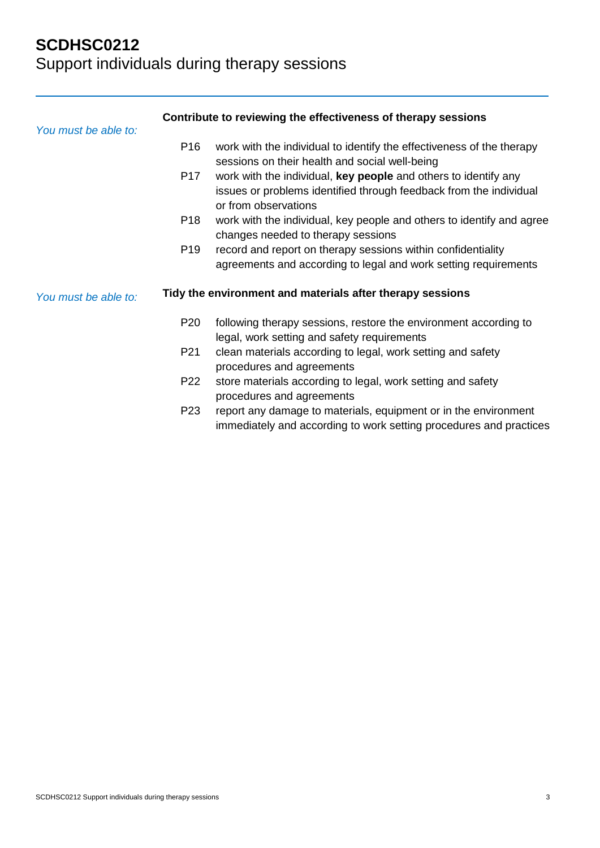| You must be able to: |                 | Contribute to reviewing the effectiveness of therapy sessions                                                                                                 |
|----------------------|-----------------|---------------------------------------------------------------------------------------------------------------------------------------------------------------|
|                      | P <sub>16</sub> | work with the individual to identify the effectiveness of the therapy<br>sessions on their health and social well-being                                       |
|                      | P <sub>17</sub> | work with the individual, key people and others to identify any<br>issues or problems identified through feedback from the individual<br>or from observations |
|                      | P <sub>18</sub> | work with the individual, key people and others to identify and agree<br>changes needed to therapy sessions                                                   |
|                      | P <sub>19</sub> | record and report on therapy sessions within confidentiality<br>agreements and according to legal and work setting requirements                               |
| You must be able to: |                 | Tidy the environment and materials after therapy sessions                                                                                                     |
|                      | P <sub>20</sub> | following therapy sessions, restore the environment according to<br>legal, work setting and safety requirements                                               |
|                      | P21             | clean materials according to legal, work setting and safety<br>procedures and agreements                                                                      |
|                      | P22             | store materials according to legal, work setting and safety<br>procedures and agreements                                                                      |
|                      | P <sub>23</sub> | report any damage to materials, equipment or in the environment<br>immediately and according to work setting procedures and practices                         |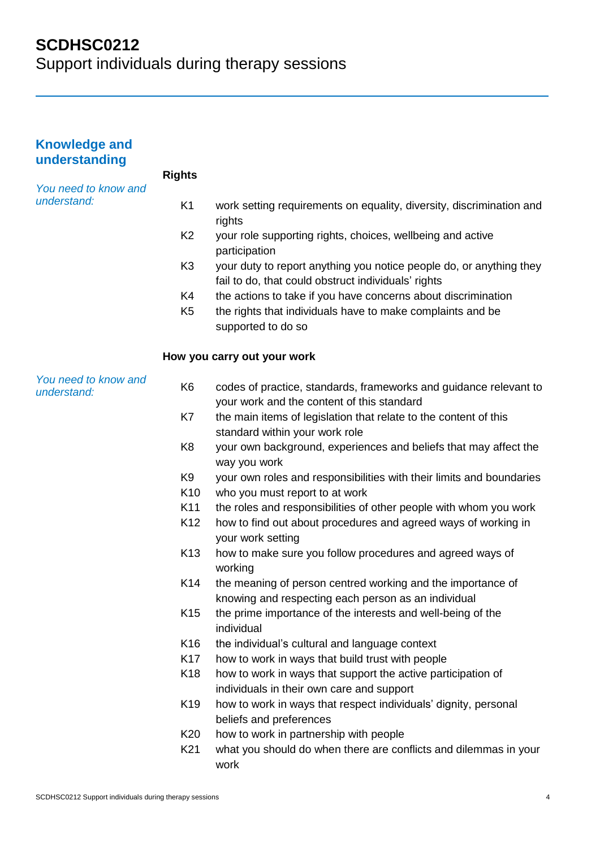| <b>Knowledge and</b><br>understanding |                 |                                                                                                                            |
|---------------------------------------|-----------------|----------------------------------------------------------------------------------------------------------------------------|
|                                       | <b>Rights</b>   |                                                                                                                            |
| You need to know and<br>understand:   | K <sub>1</sub>  | work setting requirements on equality, diversity, discrimination and<br>rights                                             |
|                                       | K <sub>2</sub>  | your role supporting rights, choices, wellbeing and active<br>participation                                                |
|                                       | K <sub>3</sub>  | your duty to report anything you notice people do, or anything they<br>fail to do, that could obstruct individuals' rights |
|                                       | K4              | the actions to take if you have concerns about discrimination                                                              |
|                                       | K <sub>5</sub>  | the rights that individuals have to make complaints and be<br>supported to do so                                           |
|                                       |                 | How you carry out your work                                                                                                |
| You need to know and<br>understand:   | K <sub>6</sub>  | codes of practice, standards, frameworks and guidance relevant to<br>your work and the content of this standard            |
|                                       | K7              | the main items of legislation that relate to the content of this<br>standard within your work role                         |
|                                       | K <sub>8</sub>  | your own background, experiences and beliefs that may affect the<br>way you work                                           |
|                                       | K9              | your own roles and responsibilities with their limits and boundaries                                                       |
|                                       | K <sub>10</sub> | who you must report to at work                                                                                             |
|                                       | K11             | the roles and responsibilities of other people with whom you work                                                          |
|                                       | K12             | how to find out about procedures and agreed ways of working in<br>your work setting                                        |
|                                       | K <sub>13</sub> | how to make sure you follow procedures and agreed ways of<br>working                                                       |
|                                       | K14             | the meaning of person centred working and the importance of<br>knowing and respecting each person as an individual         |
|                                       | K <sub>15</sub> | the prime importance of the interests and well-being of the<br>individual                                                  |
|                                       | K <sub>16</sub> | the individual's cultural and language context                                                                             |
|                                       | K <sub>17</sub> | how to work in ways that build trust with people                                                                           |
|                                       | K <sub>18</sub> | how to work in ways that support the active participation of<br>individuals in their own care and support                  |
|                                       | K <sub>19</sub> | how to work in ways that respect individuals' dignity, personal<br>beliefs and preferences                                 |
|                                       | K20             | how to work in partnership with people                                                                                     |
|                                       | K21             | what you should do when there are conflicts and dilemmas in your<br>work                                                   |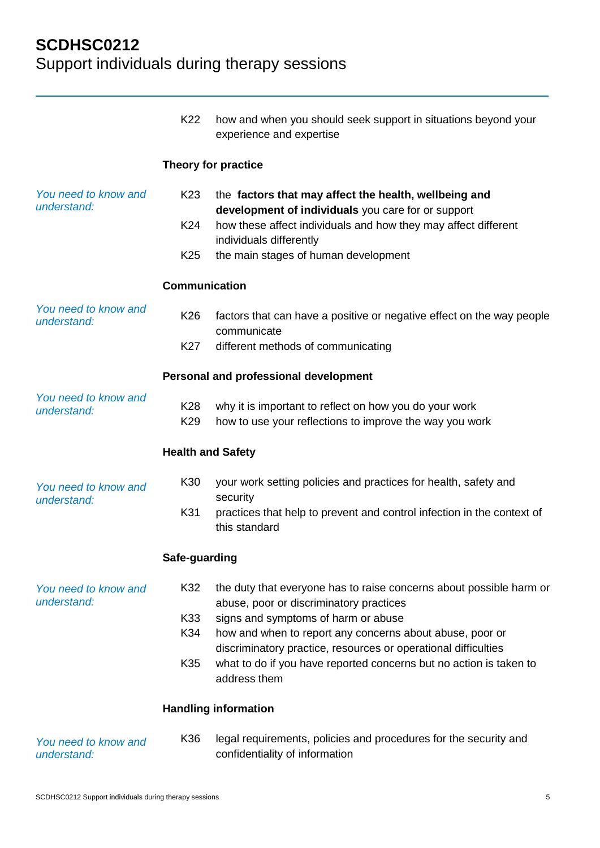|                                     | K22                      | how and when you should seek support in situations beyond your<br>experience and expertise                                 |
|-------------------------------------|--------------------------|----------------------------------------------------------------------------------------------------------------------------|
|                                     |                          | Theory for practice                                                                                                        |
| You need to know and<br>understand: | K <sub>23</sub>          | the factors that may affect the health, wellbeing and<br>development of individuals you care for or support                |
|                                     | K24                      | how these affect individuals and how they may affect different<br>individuals differently                                  |
|                                     | K <sub>25</sub>          | the main stages of human development                                                                                       |
|                                     | <b>Communication</b>     |                                                                                                                            |
| You need to know and<br>understand: | K <sub>26</sub>          | factors that can have a positive or negative effect on the way people<br>communicate                                       |
|                                     | K27                      | different methods of communicating                                                                                         |
|                                     |                          | Personal and professional development                                                                                      |
| You need to know and<br>understand: | K28<br>K <sub>29</sub>   | why it is important to reflect on how you do your work<br>how to use your reflections to improve the way you work          |
|                                     | <b>Health and Safety</b> |                                                                                                                            |
| You need to know and<br>understand: | K30                      | your work setting policies and practices for health, safety and<br>security                                                |
|                                     | K31                      | practices that help to prevent and control infection in the context of<br>this standard                                    |
|                                     | Safe-guarding            |                                                                                                                            |
| You need to know and<br>understand: | K32                      | the duty that everyone has to raise concerns about possible harm or<br>abuse, poor or discriminatory practices             |
|                                     | K33                      | signs and symptoms of harm or abuse                                                                                        |
|                                     | K34                      | how and when to report any concerns about abuse, poor or<br>discriminatory practice, resources or operational difficulties |
|                                     | K35                      | what to do if you have reported concerns but no action is taken to<br>address them                                         |
|                                     |                          | <b>Handling information</b>                                                                                                |
| You need to know and<br>understand: | K36                      | legal requirements, policies and procedures for the security and<br>confidentiality of information                         |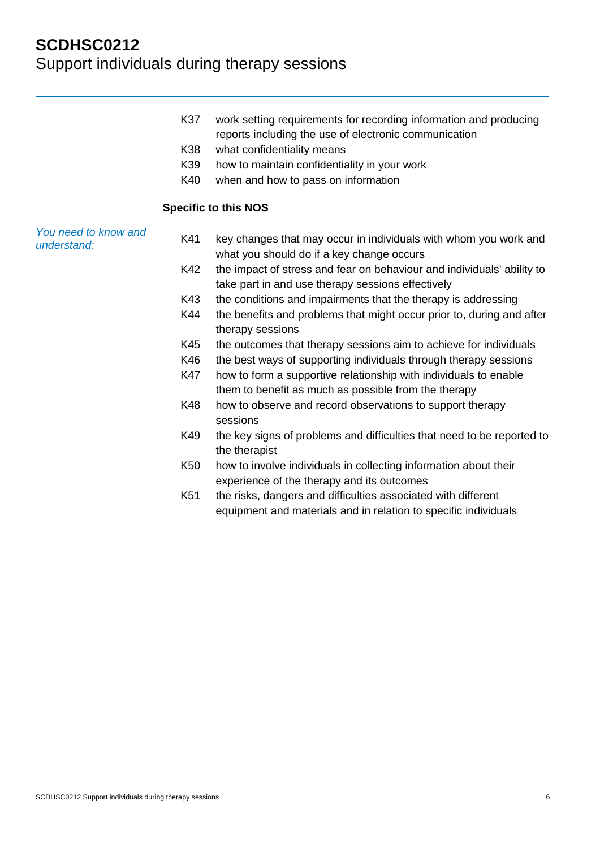- K37 work setting requirements for recording information and producing reports including the use of electronic communication
- K38 what confidentiality means
- K39 how to maintain confidentiality in your work
- K40 when and how to pass on information

#### **Specific to this NOS**

*You need to know and understand:*

- K41 key changes that may occur in individuals with whom you work and what you should do if a key change occurs
- K42 the impact of stress and fear on behaviour and individuals' ability to take part in and use therapy sessions effectively
- K43 the conditions and impairments that the therapy is addressing
- K44 the benefits and problems that might occur prior to, during and after therapy sessions
- K45 the outcomes that therapy sessions aim to achieve for individuals
- K46 the best ways of supporting individuals through therapy sessions
- K47 how to form a supportive relationship with individuals to enable them to benefit as much as possible from the therapy
- K48 how to observe and record observations to support therapy sessions
- K49 the key signs of problems and difficulties that need to be reported to the therapist
- K50 how to involve individuals in collecting information about their experience of the therapy and its outcomes
- K51 the risks, dangers and difficulties associated with different equipment and materials and in relation to specific individuals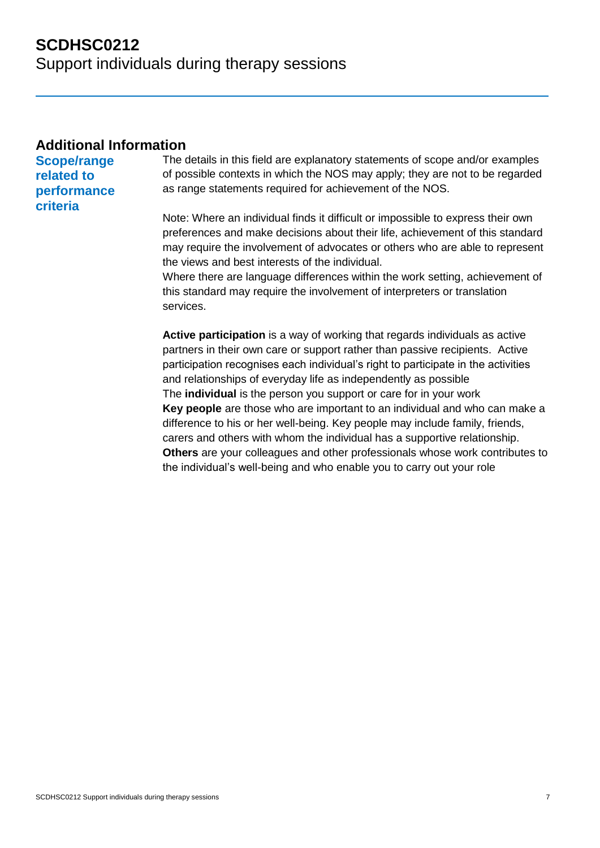#### **Additional Information**

**Scope/range related to performance criteria**

The details in this field are explanatory statements of scope and/or examples of possible contexts in which the NOS may apply; they are not to be regarded as range statements required for achievement of the NOS.

Note: Where an individual finds it difficult or impossible to express their own preferences and make decisions about their life, achievement of this standard may require the involvement of advocates or others who are able to represent the views and best interests of the individual.

Where there are language differences within the work setting, achievement of this standard may require the involvement of interpreters or translation services.

**Active participation** is a way of working that regards individuals as active partners in their own care or support rather than passive recipients. Active participation recognises each individual's right to participate in the activities and relationships of everyday life as independently as possible The **individual** is the person you support or care for in your work **Key people** are those who are important to an individual and who can make a difference to his or her well-being. Key people may include family, friends, carers and others with whom the individual has a supportive relationship. **Others** are your colleagues and other professionals whose work contributes to the individual's well-being and who enable you to carry out your role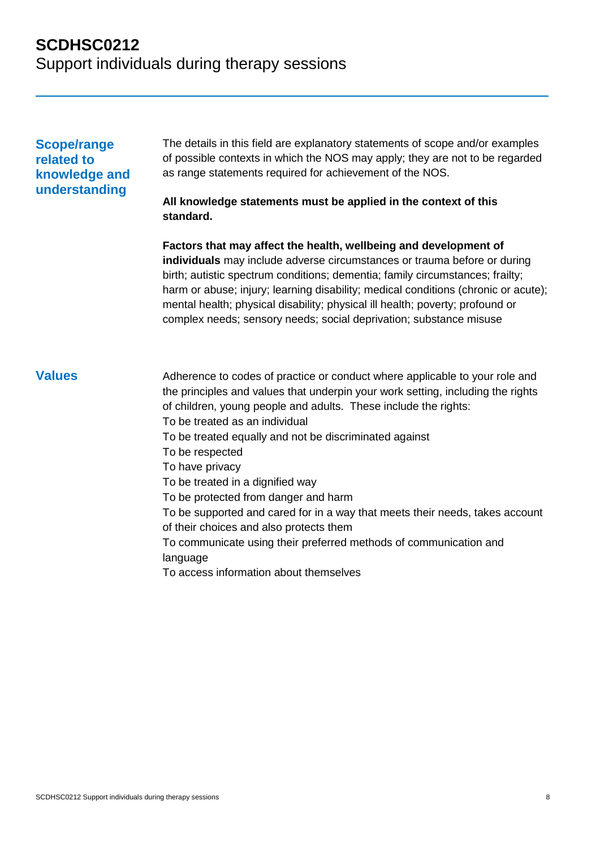#### **Scope/range related to knowledge and understanding**

The details in this field are explanatory statements of scope and/or examples of possible contexts in which the NOS may apply; they are not to be regarded as range statements required for achievement of the NOS.

#### **All knowledge statements must be applied in the context of this standard.**

**Factors that may affect the health, wellbeing and development of individuals** may include adverse circumstances or trauma before or during birth; autistic spectrum conditions; dementia; family circumstances; frailty; harm or abuse; injury; learning disability; medical conditions (chronic or acute); mental health; physical disability; physical ill health; poverty; profound or complex needs; sensory needs; social deprivation; substance misuse

**Values** Adherence to codes of practice or conduct where applicable to your role and the principles and values that underpin your work setting, including the rights of children, young people and adults. These include the rights: To be treated as an individual To be treated equally and not be discriminated against To be respected To have privacy To be treated in a dignified way To be protected from danger and harm To be supported and cared for in a way that meets their needs, takes account of their choices and also protects them To communicate using their preferred methods of communication and language To access information about themselves